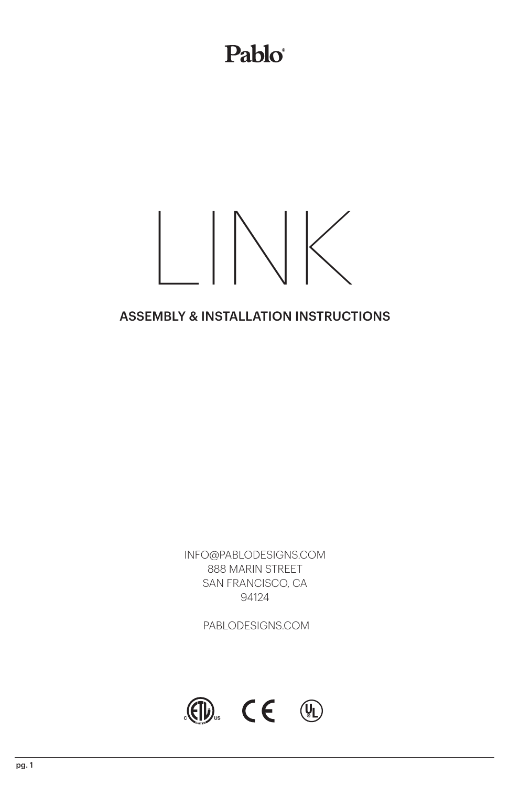### Pablo®

# $\| \setminus \|$

#### ASSEMBLY & INSTALLATION INSTRUCTIONS

INFO@PABLODESIGNS.COM 888 MARIN STREET SAN FRANCISCO, CA 94124

PABLODESIGNS.COM

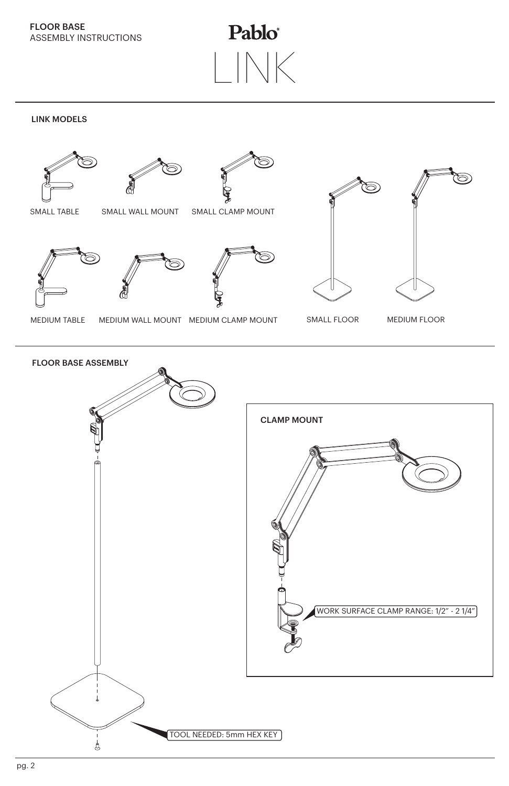FLOOR BASE ASSEMBLY INSTRUCTIONS

Pablo® LINK

LINK MODELS



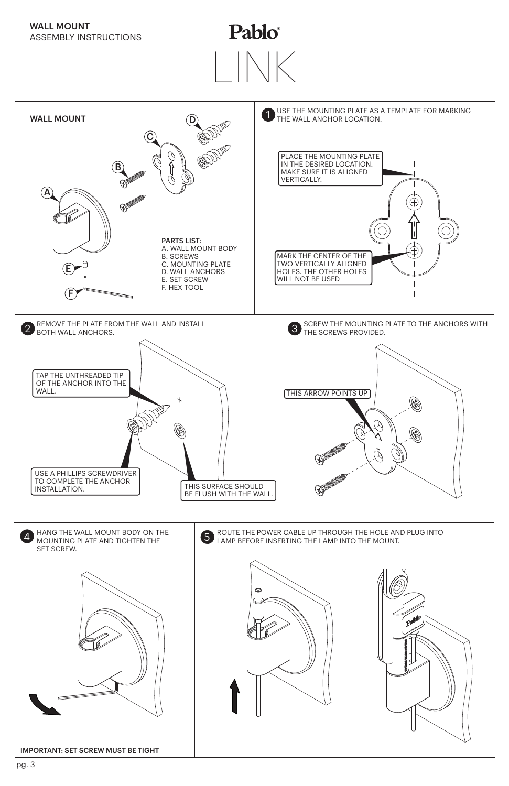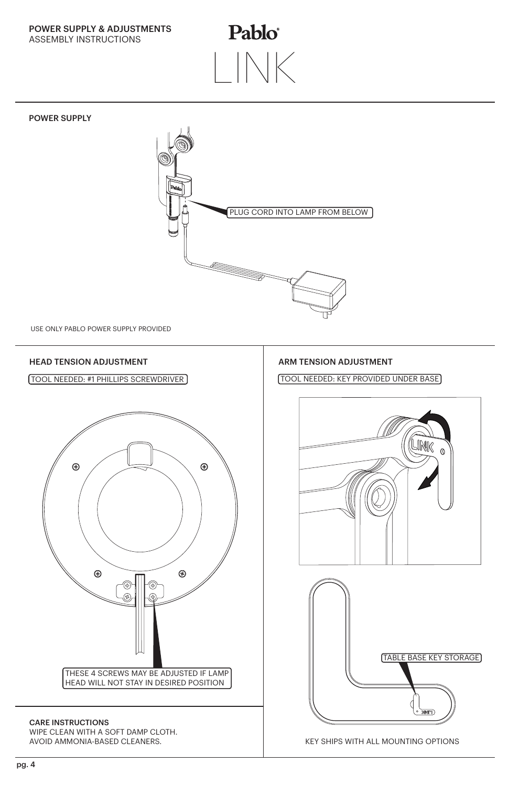POWER SUPPLY & ADJUSTMENTS ASSEMBLY INSTRUCTIONS

## Pablo® LINK



WIPE CLEAN WITH A SOFT DAMP CLOTH. AVOID AMMONIA-BASED CLEANERS.

KEY SHIPS WITH ALL MOUNTING OPTIONS